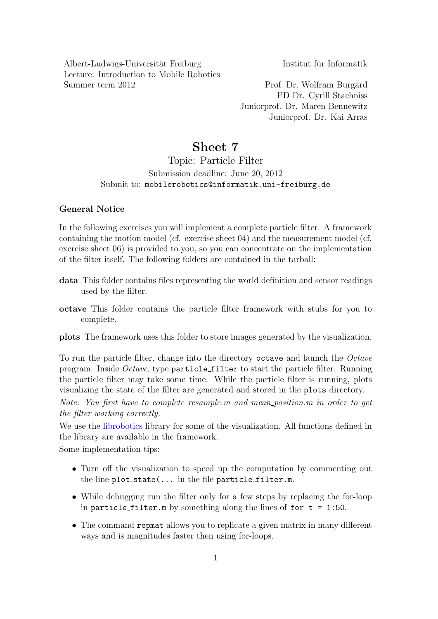Albert-Ludwigs-Universität Freiburg Institut für Informatik Lecture: Introduction to Mobile Robotics Summer term 2012 Prof. Dr. Wolfram Burgard

PD Dr. Cyrill Stachniss Juniorprof. Dr. Maren Bennewitz Juniorprof. Dr. Kai Arras

# Sheet 7

## Topic: Particle Filter Submission deadline: June 20, 2012 Submit to: mobilerobotics@informatik.uni-freiburg.de

### General Notice

In the following exercises you will implement a complete particle filter. A framework containing the motion model (cf. exercise sheet 04) and the measurement model (cf. exercise sheet 06) is provided to you, so you can concentrate on the implementation of the filter itself. The following folders are contained in the tarball:

- data This folder contains files representing the world definition and sensor readings used by the filter.
- octave This folder contains the particle filter framework with stubs for you to complete.

plots The framework uses this folder to store images generated by the visualization.

To run the particle filter, change into the directory octave and launch the Octave program. Inside Octave, type particle filter to start the particle filter. Running the particle filter may take some time. While the particle filter is running, plots visualizing the state of the filter are generated and stored in the plots directory.

Note: You first have to complete resample.m and mean position.m in order to get the filter working correctly.

We use the [librobotics](http://srl.informatik.uni-freiburg.de/downloads) library for some of the visualization. All functions defined in the library are available in the framework.

Some implementation tips:

- Turn off the visualization to speed up the computation by commenting out the line  $plot\_state(...$  in the file particle\_filter.m.
- While debugging run the filter only for a few steps by replacing the for-loop in particle filter.m by something along the lines of for  $t = 1:50$ .
- The command repmat allows you to replicate a given matrix in many different ways and is magnitudes faster then using for-loops.